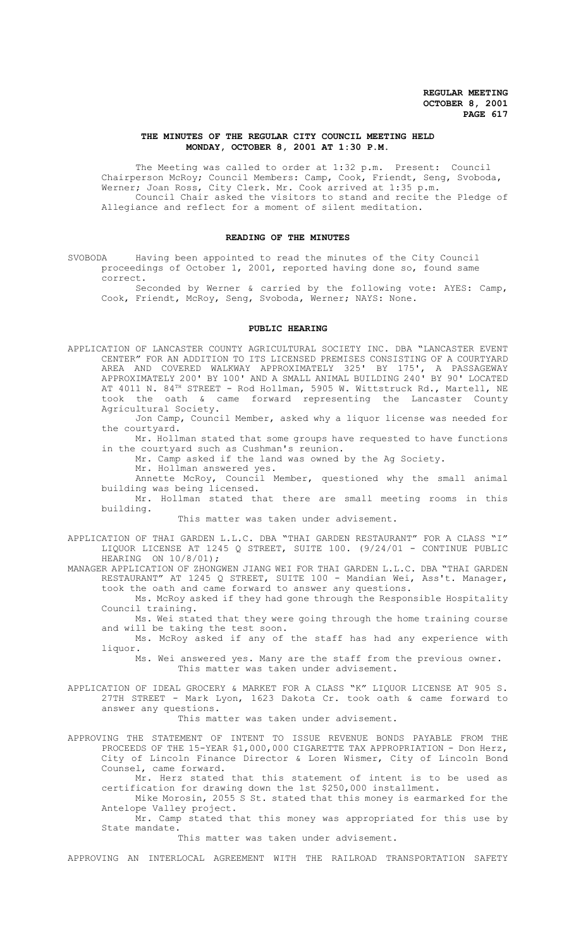### **THE MINUTES OF THE REGULAR CITY COUNCIL MEETING HELD MONDAY, OCTOBER 8, 2001 AT 1:30 P.M.**

The Meeting was called to order at 1:32 p.m. Present: Council Chairperson McRoy; Council Members: Camp, Cook, Friendt, Seng, Svoboda, Werner; Joan Ross, City Clerk. Mr. Cook arrived at 1:35 p.m. Council Chair asked the visitors to stand and recite the Pledge of Allegiance and reflect for a moment of silent meditation.

## **READING OF THE MINUTES**

SVOBODA Having been appointed to read the minutes of the City Council proceedings of October 1, 2001, reported having done so, found same correct.

Seconded by Werner & carried by the following vote: AYES: Camp, Cook, Friendt, McRoy, Seng, Svoboda, Werner; NAYS: None.

#### **PUBLIC HEARING**

APPLICATION OF LANCASTER COUNTY AGRICULTURAL SOCIETY INC. DBA "LANCASTER EVENT CENTER" FOR AN ADDITION TO ITS LICENSED PREMISES CONSISTING OF A COURTYARD AREA AND COVERED WALKWAY APPROXIMATELY 325' BY 175', A PASSAGEWAY APPROXIMATELY 200' BY 100' AND A SMALL ANIMAL BUILDING 240' BY 90' LOCATED AT 4011 N.  $84^{\text{\tiny{TH}}}$  STREET - Rod Hollman, 5905 W. Wittstruck Rd., Martell, NE took the oath & came forward representing the Lancaster County Agricultural Society.

Jon Camp, Council Member, asked why a liquor license was needed for the courtyard.

Mr. Hollman stated that some groups have requested to have functions in the courtyard such as Cushman's reunion.

Mr. Camp asked if the land was owned by the Ag Society.

Mr. Hollman answered yes.

Annette McRoy, Council Member, questioned why the small animal building was being licensed.

Mr. Hollman stated that there are small meeting rooms in this building.

This matter was taken under advisement.

APPLICATION OF THAI GARDEN L.L.C. DBA "THAI GARDEN RESTAURANT" FOR A CLASS "I" LIQUOR LICENSE AT 1245 Q STREET, SUITE 100. (9/24/01 - CONTINUE PUBLIC HEARING ON  $10/8/01$ ;

MANAGER APPLICATION OF ZHONGWEN JIANG WEI FOR THAI GARDEN L.L.C. DBA "THAI GARDEN RESTAURANT" AT 1245 Q STREET, SUITE 100 - Mandian Wei, Ass't. Manager, took the oath and came forward to answer any questions.

Ms. McRoy asked if they had gone through the Responsible Hospitality Council training.

Ms. Wei stated that they were going through the home training course and will be taking the test soon.

Ms. McRoy asked if any of the staff has had any experience with liquor.

Ms. Wei answered yes. Many are the staff from the previous owner. This matter was taken under advisement.

APPLICATION OF IDEAL GROCERY & MARKET FOR A CLASS "K" LIQUOR LICENSE AT 905 S. 27TH STREET - Mark Lyon, 1623 Dakota Cr. took oath & came forward to answer any questions.

This matter was taken under advisement.

APPROVING THE STATEMENT OF INTENT TO ISSUE REVENUE BONDS PAYABLE FROM THE PROCEEDS OF THE 15-YEAR \$1,000,000 CIGARETTE TAX APPROPRIATION - Don Herz, City of Lincoln Finance Director & Loren Wismer, City of Lincoln Bond Counsel, came forward.

Mr. Herz stated that this statement of intent is to be used as certification for drawing down the 1st \$250,000 installment.

Mike Morosin, 2055 S St. stated that this money is earmarked for the Antelope Valley project.

Mr. Camp stated that this money was appropriated for this use by State mandate.

This matter was taken under advisement.

APPROVING AN INTERLOCAL AGREEMENT WITH THE RAILROAD TRANSPORTATION SAFETY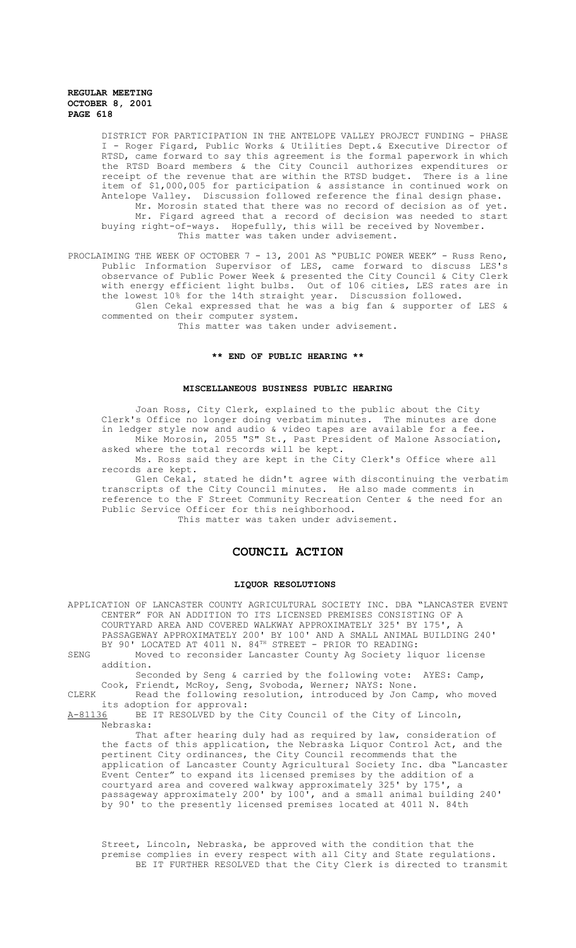DISTRICT FOR PARTICIPATION IN THE ANTELOPE VALLEY PROJECT FUNDING - PHASE I Roger Figard, Public Works & Utilities Dept.& Executive Director of RTSD, came forward to say this agreement is the formal paperwork in which the RTSD Board members & the City Council authorizes expenditures or receipt of the revenue that are within the RTSD budget. There is a line item of \$1,000,005 for participation & assistance in continued work on Antelope Valley. Discussion followed reference the final design phase. Mr. Morosin stated that there was no record of decision as of yet. Mr. Figard agreed that a record of decision was needed to start buying right-of-ways. Hopefully, this will be received by November. This matter was taken under advisement.

PROCLAIMING THE WEEK OF OCTOBER 7 - 13, 2001 AS "PUBLIC POWER WEEK" - Russ Reno, Public Information Supervisor of LES, came forward to discuss LES's observance of Public Power Week & presented the City Council & City Clerk with energy efficient light bulbs. Out of 106 cities, LES rates are in the lowest 10% for the 14th straight year. Discussion followed. Glen Cekal expressed that he was a big fan & supporter of LES &

commented on their computer system.

This matter was taken under advisement.

### **\*\* END OF PUBLIC HEARING \*\***

#### **MISCELLANEOUS BUSINESS PUBLIC HEARING**

Joan Ross, City Clerk, explained to the public about the City Clerk's Office no longer doing verbatim minutes. The minutes are done in ledger style now and audio & video tapes are available for a fee.

Mike Morosin, 2055 "S" St., Past President of Malone Association, asked where the total records will be kept. Ms. Ross said they are kept in the City Clerk's Office where all

records are kept.

Glen Cekal, stated he didn't agree with discontinuing the verbatim transcripts of the City Council minutes. He also made comments in reference to the F Street Community Recreation Center & the need for an Public Service Officer for this neighborhood.

This matter was taken under advisement.

# **COUNCIL ACTION**

#### **LIQUOR RESOLUTIONS**

APPLICATION OF LANCASTER COUNTY AGRICULTURAL SOCIETY INC. DBA "LANCASTER EVENT CENTER" FOR AN ADDITION TO ITS LICENSED PREMISES CONSISTING OF A COURTYARD AREA AND COVERED WALKWAY APPROXIMATELY 325' BY 175', A PASSAGEWAY APPROXIMATELY 200' BY 100' AND A SMALL ANIMAL BUILDING 240' BY 90' LOCATED AT 4011 N. 84<sup>TH</sup> STREET - PRIOR TO READING:

SENG Moved to reconsider Lancaster County Ag Society liquor license addition.

Seconded by Seng & carried by the following vote: AYES: Camp, Cook, Friendt, McRoy, Seng, Svoboda, Werner; NAYS: None.

CLERK Read the following resolution, introduced by Jon Camp, who moved its adoption for approval:<br>A-81136 BE IT RESOLVED by th

BE IT RESOLVED by the City Council of the City of Lincoln, Nebraska:

That after hearing duly had as required by law, consideration of the facts of this application, the Nebraska Liquor Control Act, and the pertinent City ordinances, the City Council recommends that the application of Lancaster County Agricultural Society Inc. dba "Lancaster Event Center" to expand its licensed premises by the addition of a courtyard area and covered walkway approximately 325' by 175', a passageway approximately 200' by 100', and a small animal building 240' by 90' to the presently licensed premises located at 4011 N. 84th

Street, Lincoln, Nebraska, be approved with the condition that the premise complies in every respect with all City and State regulations. BE IT FURTHER RESOLVED that the City Clerk is directed to transmit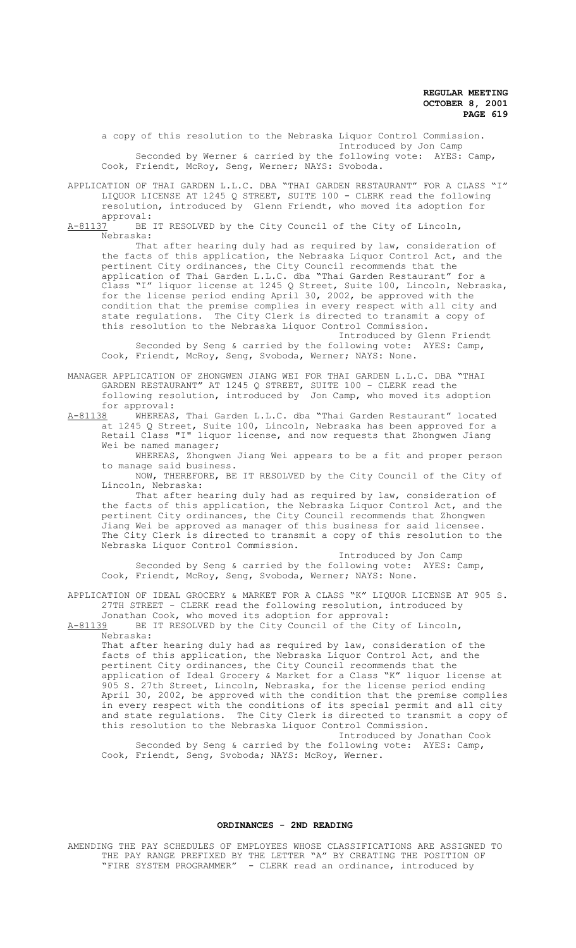a copy of this resolution to the Nebraska Liquor Control Commission. Introduced by Jon Camp Seconded by Werner & carried by the following vote: AYES: Camp, Cook, Friendt, McRoy, Seng, Werner; NAYS: Svoboda.

APPLICATION OF THAI GARDEN L.L.C. DBA "THAI GARDEN RESTAURANT" FOR A CLASS "I" LIQUOR LICENSE AT 1245 Q STREET, SUITE 100 - CLERK read the following resolution, introduced by Glenn Friendt, who moved its adoption for

approval:<br>A-81137 BE BE IT RESOLVED by the City Council of the City of Lincoln, Nebraska:

That after hearing duly had as required by law, consideration of the facts of this application, the Nebraska Liquor Control Act, and the pertinent City ordinances, the City Council recommends that the application of Thai Garden L.L.C. dba "Thai Garden Restaurant" for a Class "I" liquor license at 1245 Q Street, Suite 100, Lincoln, Nebraska, for the license period ending April 30, 2002, be approved with the condition that the premise complies in every respect with all city and<br>state regulations. The City Clerk is directed to transmit a copy of state regulations. The City Clerk is directed to transmit a copy of this resolution to the Nebraska Liquor Control Commission.

Introduced by Glenn Friendt Seconded by Seng & carried by the following vote: AYES: Camp, Cook, Friendt, McRoy, Seng, Svoboda, Werner; NAYS: None.

MANAGER APPLICATION OF ZHONGWEN JIANG WEI FOR THAI GARDEN L.L.C. DBA "THAI GARDEN RESTAURANT" AT 1245 Q STREET, SUITE 100 - CLERK read the following resolution, introduced by Jon Camp, who moved its adoption for approval:<br>A-81138 WHEREAS

WHEREAS, Thai Garden L.L.C. dba "Thai Garden Restaurant" located at 1245 Q Street, Suite 100, Lincoln, Nebraska has been approved for a Retail Class "I" liquor license, and now requests that Zhongwen Jiang Wei be named manager;

WHEREAS, Zhongwen Jiang Wei appears to be a fit and proper person to manage said business.

NOW, THEREFORE, BE IT RESOLVED by the City Council of the City of Lincoln, Nebraska:

That after hearing duly had as required by law, consideration of the facts of this application, the Nebraska Liquor Control Act, and the pertinent City ordinances, the City Council recommends that Zhongwen Jiang Wei be approved as manager of this business for said licensee. The City Clerk is directed to transmit a copy of this resolution to the Nebraska Liquor Control Commission.

Introduced by Jon Camp Seconded by Seng & carried by the following vote: AYES: Camp, Cook, Friendt, McRoy, Seng, Svoboda, Werner; NAYS: None.

APPLICATION OF IDEAL GROCERY & MARKET FOR A CLASS "K" LIQUOR LICENSE AT 905 S. 27TH STREET - CLERK read the following resolution, introduced by

Jonathan Cook, who moved its adoption for approval:<br>A-81139 BE IT RESOLVED by the City Council of the Cit BE IT RESOLVED by the City Council of the City of Lincoln, Nebraska:

That after hearing duly had as required by law, consideration of the facts of this application, the Nebraska Liquor Control Act, and the pertinent City ordinances, the City Council recommends that the application of Ideal Grocery & Market for a Class "K" liquor license at 905 S. 27th Street, Lincoln, Nebraska, for the license period ending April 30, 2002, be approved with the condition that the premise complies in every respect with the conditions of its special permit and all city and state regulations. The City Clerk is directed to transmit a copy of this resolution to the Nebraska Liquor Control Commission.

Introduced by Jonathan Cook Seconded by Seng & carried by the following vote: AYES: Camp, Cook, Friendt, Seng, Svoboda; NAYS: McRoy, Werner.

# **ORDINANCES - 2ND READING**

AMENDING THE PAY SCHEDULES OF EMPLOYEES WHOSE CLASSIFICATIONS ARE ASSIGNED TO THE PAY RANGE PREFIXED BY THE LETTER "A" BY CREATING THE POSITION OF "FIRE SYSTEM PROGRAMMER" - CLERK read an ordinance, introduced by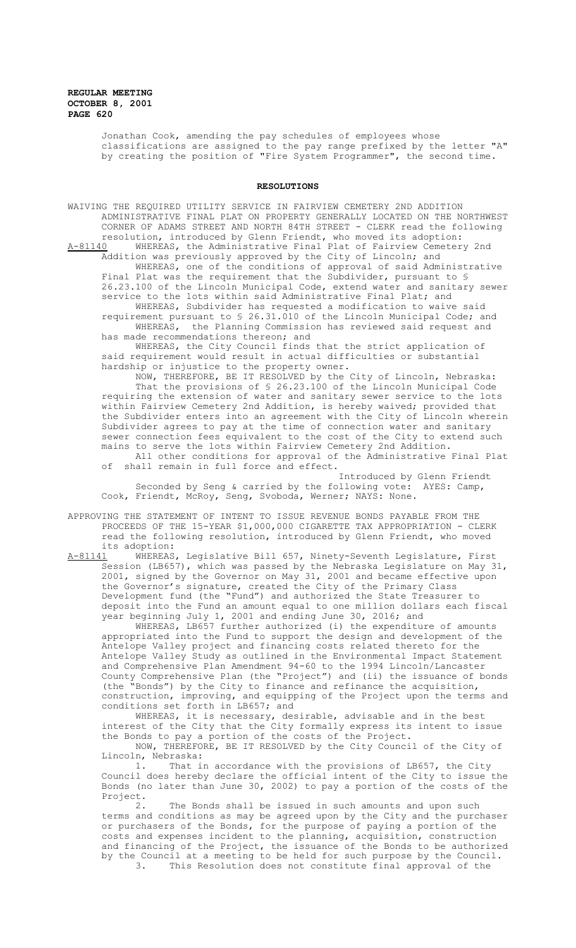> Jonathan Cook, amending the pay schedules of employees whose classifications are assigned to the pay range prefixed by the letter "A" by creating the position of "Fire System Programmer", the second time.

## **RESOLUTIONS**

WAIVING THE REQUIRED UTILITY SERVICE IN FAIRVIEW CEMETERY 2ND ADDITION ADMINISTRATIVE FINAL PLAT ON PROPERTY GENERALLY LOCATED ON THE NORTHWEST CORNER OF ADAMS STREET AND NORTH 84TH STREET - CLERK read the following resolution, introduced by Glenn Friendt, who moved its adoption: A-81140 WHEREAS, the Administrative Final Plat of Fairview Cemetery 2nd Addition was previously approved by the City of Lincoln; and WHEREAS, one of the conditions of approval of said Administrative Final Plat was the requirement that the Subdivider, pursuant to § 26.23.100 of the Lincoln Municipal Code, extend water and sanitary sewer service to the lots within said Administrative Final Plat; and WHEREAS, Subdivider has requested a modification to waive said requirement pursuant to § 26.31.010 of the Lincoln Municipal Code; and WHEREAS, the Planning Commission has reviewed said request and has made recommendations thereon; and WHEREAS, the City Council finds that the strict application of said requirement would result in actual difficulties or substantial

hardship or injustice to the property owner. NOW, THEREFORE, BE IT RESOLVED by the City of Lincoln, Nebraska: That the provisions of § 26.23.100 of the Lincoln Municipal Code requiring the extension of water and sanitary sewer service to the lots within Fairview Cemetery 2nd Addition, is hereby waived; provided that the Subdivider enters into an agreement with the City of Lincoln wherein Subdivider agrees to pay at the time of connection water and sanitary sewer connection fees equivalent to the cost of the City to extend such mains to serve the lots within Fairview Cemetery 2nd Addition. All other conditions for approval of the Administrative Final Plat

of shall remain in full force and effect. Introduced by Glenn Friendt

Seconded by Seng & carried by the following vote: AYES: Camp, Cook, Friendt, McRoy, Seng, Svoboda, Werner; NAYS: None.

APPROVING THE STATEMENT OF INTENT TO ISSUE REVENUE BONDS PAYABLE FROM THE PROCEEDS OF THE 15-YEAR \$1,000,000 CIGARETTE TAX APPROPRIATION - CLERK read the following resolution, introduced by Glenn Friendt, who moved its adoption:<br>A-81141 WHEREAS,

Legislative Bill 657, Ninety-Seventh Legislature, First Session (LB657), which was passed by the Nebraska Legislature on May 31, 2001, signed by the Governor on May 31, 2001 and became effective upon the Governor's signature, created the City of the Primary Class Development fund (the "Fund") and authorized the State Treasurer to deposit into the Fund an amount equal to one million dollars each fiscal year beginning July 1, 2001 and ending June 30, 2016; and

WHEREAS, LB657 further authorized (i) the expenditure of amounts appropriated into the Fund to support the design and development of the Antelope Valley project and financing costs related thereto for the Antelope Valley Study as outlined in the Environmental Impact Statement and Comprehensive Plan Amendment 94-60 to the 1994 Lincoln/Lancaster County Comprehensive Plan (the "Project") and (ii) the issuance of bonds (the "Bonds") by the City to finance and refinance the acquisition, construction, improving, and equipping of the Project upon the terms and conditions set forth in LB657; and

WHEREAS, it is necessary, desirable, advisable and in the best interest of the City that the City formally express its intent to issue the Bonds to pay a portion of the costs of the Project.

NOW, THEREFORE, BE IT RESOLVED by the City Council of the City of Lincoln, Nebraska:

1. That in accordance with the provisions of LB657, the City Council does hereby declare the official intent of the City to issue the Bonds (no later than June 30, 2002) to pay a portion of the costs of the Project.<br>2.

The Bonds shall be issued in such amounts and upon such terms and conditions as may be agreed upon by the City and the purchaser or purchasers of the Bonds, for the purpose of paying a portion of the costs and expenses incident to the planning, acquisition, construction and financing of the Project, the issuance of the Bonds to be authorized by the Council at a meeting to be held for such purpose by the Council.<br>3. This Resolution does not constitute final approval of the This Resolution does not constitute final approval of the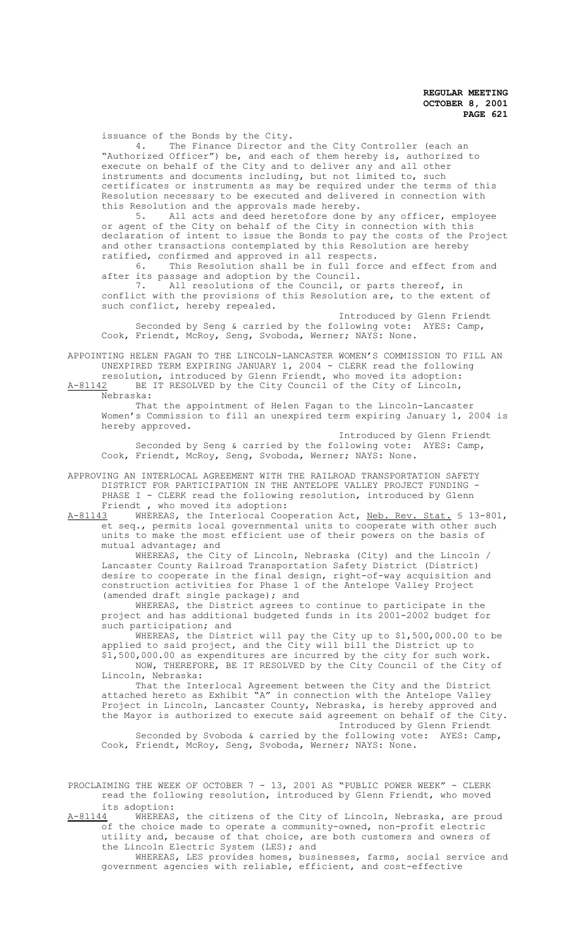issuance of the Bonds by the City.

4. The Finance Director and the City Controller (each an "Authorized Officer") be, and each of them hereby is, authorized to execute on behalf of the City and to deliver any and all other instruments and documents including, but not limited to, such certificates or instruments as may be required under the terms of this Resolution necessary to be executed and delivered in connection with this Resolution and the approvals made hereby.

5. All acts and deed heretofore done by any officer, employee or agent of the City on behalf of the City in connection with this declaration of intent to issue the Bonds to pay the costs of the Project and other transactions contemplated by this Resolution are hereby ratified, confirmed and approved in all respects.

6. This Resolution shall be in full force and effect from and after its passage and adoption by the Council.<br>7. All resolutions of the Council, or

All resolutions of the Council, or parts thereof, in conflict with the provisions of this Resolution are, to the extent of such conflict, hereby repealed.

Introduced by Glenn Friendt Seconded by Seng & carried by the following vote: AYES: Camp, Cook, Friendt, McRoy, Seng, Svoboda, Werner; NAYS: None.

APPOINTING HELEN FAGAN TO THE LINCOLN-LANCASTER WOMEN'S COMMISSION TO FILL AN UNEXPIRED TERM EXPIRING JANUARY 1, 2004 - CLERK read the following

resolution, introduced by Glenn Friendt, who moved its adoption: A-81142 BE IT RESOLVED by the City Council of the City of Lincoln, Nebraska:

That the appointment of Helen Fagan to the Lincoln-Lancaster Women's Commission to fill an unexpired term expiring January 1, 2004 is hereby approved.

Introduced by Glenn Friendt Seconded by Seng & carried by the following vote: AYES: Camp, Cook, Friendt, McRoy, Seng, Svoboda, Werner; NAYS: None.

APPROVING AN INTERLOCAL AGREEMENT WITH THE RAILROAD TRANSPORTATION SAFETY DISTRICT FOR PARTICIPATION IN THE ANTELOPE VALLEY PROJECT FUNDING - PHASE I - CLERK read the following resolution, introduced by Glenn Friendt, who moved its adoption: Friendt , who moved its adoption:<br>A-81143 WHEREAS, the Interlocal Coo

WHEREAS, the Interlocal Cooperation Act, Neb. Rev. Stat. § 13-801, et seq., permits local governmental units to cooperate with other such units to make the most efficient use of their powers on the basis of mutual advantage; and

WHEREAS, the City of Lincoln, Nebraska (City) and the Lincoln / Lancaster County Railroad Transportation Safety District (District) desire to cooperate in the final design, right-of-way acquisition and construction activities for Phase 1 of the Antelope Valley Project (amended draft single package); and

WHEREAS, the District agrees to continue to participate in the project and has additional budgeted funds in its 2001-2002 budget for such participation; and

WHEREAS, the District will pay the City up to \$1,500,000.00 to be applied to said project, and the City will bill the District up to \$1,500,000.00 as expenditures are incurred by the city for such work.

NOW, THEREFORE, BE IT RESOLVED by the City Council of the City of Lincoln, Nebraska:

That the Interlocal Agreement between the City and the District attached hereto as Exhibit "A" in connection with the Antelope Valley Project in Lincoln, Lancaster County, Nebraska, is hereby approved and the Mayor is authorized to execute said agreement on behalf of the City. Introduced by Glenn Friendt

Seconded by Svoboda & carried by the following vote: AYES: Camp, Cook, Friendt, McRoy, Seng, Svoboda, Werner; NAYS: None.

PROCLAIMING THE WEEK OF OCTOBER 7 - 13, 2001 AS "PUBLIC POWER WEEK" - CLERK read the following resolution, introduced by Glenn Friendt, who moved its adoption:

A-81144 WHEREAS, the citizens of the City of Lincoln, Nebraska, are proud of the choice made to operate a community-owned, non-profit electric utility and, because of that choice, are both customers and owners of the Lincoln Electric System (LES); and

WHEREAS, LES provides homes, businesses, farms, social service and government agencies with reliable, efficient, and cost-effective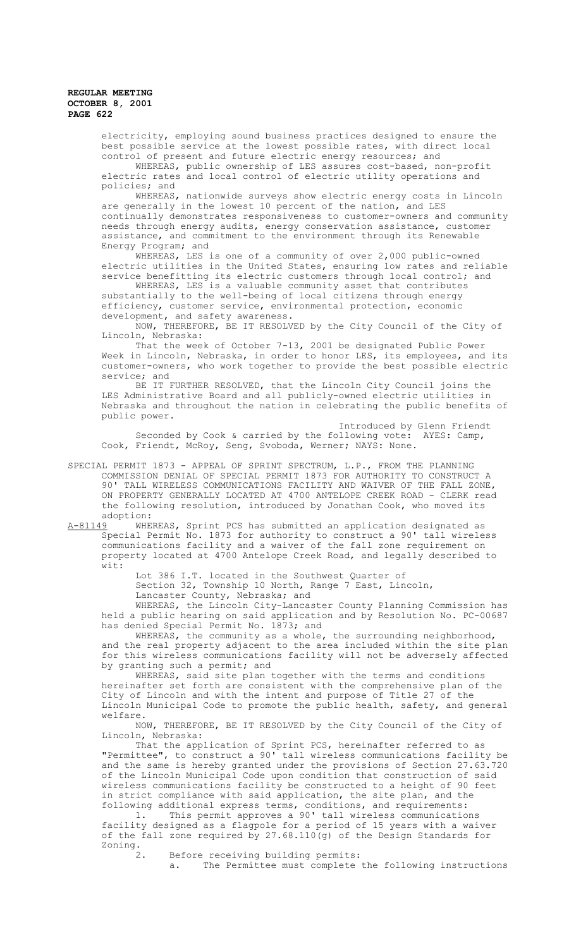electricity, employing sound business practices designed to ensure the best possible service at the lowest possible rates, with direct local control of present and future electric energy resources; and

WHEREAS, public ownership of LES assures cost-based, non-profit electric rates and local control of electric utility operations and policies; and

WHEREAS, nationwide surveys show electric energy costs in Lincoln are generally in the lowest 10 percent of the nation, and LES continually demonstrates responsiveness to customer-owners and community needs through energy audits, energy conservation assistance, customer assistance, and commitment to the environment through its Renewable Energy Program; and

WHEREAS, LES is one of a community of over 2,000 public-owned electric utilities in the United States, ensuring low rates and reliable service benefitting its electric customers through local control; and

WHEREAS, LES is a valuable community asset that contributes substantially to the well-being of local citizens through energy efficiency, customer service, environmental protection, economic development, and safety awareness.

NOW, THEREFORE, BE IT RESOLVED by the City Council of the City of Lincoln, Nebraska:

That the week of October 7-13, 2001 be designated Public Power Week in Lincoln, Nebraska, in order to honor LES, its employees, and its customer-owners, who work together to provide the best possible electric service; and

BE IT FURTHER RESOLVED, that the Lincoln City Council joins the LES Administrative Board and all publicly-owned electric utilities in Nebraska and throughout the nation in celebrating the public benefits of public power.

Introduced by Glenn Friendt Seconded by Cook & carried by the following vote: AYES: Camp, Cook, Friendt, McRoy, Seng, Svoboda, Werner; NAYS: None.

SPECIAL PERMIT 1873 - APPEAL OF SPRINT SPECTRUM, L.P., FROM THE PLANNING COMMISSION DENIAL OF SPECIAL PERMIT 1873 FOR AUTHORITY TO CONSTRUCT A 90' TALL WIRELESS COMMUNICATIONS FACILITY AND WAIVER OF THE FALL ZONE, ON PROPERTY GENERALLY LOCATED AT 4700 ANTELOPE CREEK ROAD - CLERK read the following resolution, introduced by Jonathan Cook, who moved its adoption:<br>A-81149 WHE

A-81149 WHEREAS, Sprint PCS has submitted an application designated as Special Permit No. 1873 for authority to construct a 90' tall wireless communications facility and a waiver of the fall zone requirement on property located at 4700 Antelope Creek Road, and legally described to wit:

Lot 386 I.T. located in the Southwest Quarter of

Section 32, Township 10 North, Range 7 East, Lincoln,

Lancaster County, Nebraska; and

WHEREAS, the Lincoln City-Lancaster County Planning Commission has held a public hearing on said application and by Resolution No. PC-00687 has denied Special Permit No. 1873; and

WHEREAS, the community as a whole, the surrounding neighborhood, and the real property adjacent to the area included within the site plan for this wireless communications facility will not be adversely affected by granting such a permit; and

WHEREAS, said site plan together with the terms and conditions hereinafter set forth are consistent with the comprehensive plan of the City of Lincoln and with the intent and purpose of Title 27 of the Lincoln Municipal Code to promote the public health, safety, and general welfare.

NOW, THEREFORE, BE IT RESOLVED by the City Council of the City of Lincoln, Nebraska:

That the application of Sprint PCS, hereinafter referred to as "Permittee", to construct a 90' tall wireless communications facility be and the same is hereby granted under the provisions of Section 27.63.720 of the Lincoln Municipal Code upon condition that construction of said wireless communications facility be constructed to a height of 90 feet in strict compliance with said application, the site plan, and the following additional express terms, conditions, and requirements:

1. This permit approves a 90' tall wireless communications facility designed as a flagpole for a period of 15 years with a waiver of the fall zone required by 27.68.110(g) of the Design Standards for Zoning.

Before receiving building permits:<br>a. The Permittee must complete

The Permittee must complete the following instructions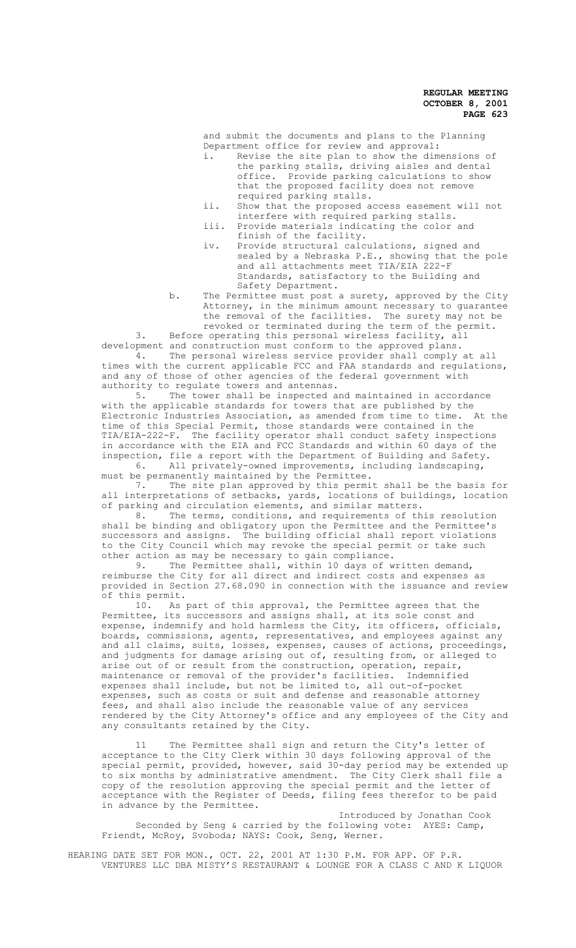and submit the documents and plans to the Planning Department office for review and approval:<br>i. Revise the site plan to show the dim

- Revise the site plan to show the dimensions of the parking stalls, driving aisles and dental office. Provide parking calculations to show that the proposed facility does not remove required parking stalls.
- ii. Show that the proposed access easement will not interfere with required parking stalls.
- iii. Provide materials indicating the color and finish of the facility.
- iv. Provide structural calculations, signed and sealed by a Nebraska P.E., showing that the pole and all attachments meet TIA/EIA 222-F Standards, satisfactory to the Building and Safety Department.

b. The Permittee must post a surety, approved by the City Attorney, in the minimum amount necessary to guarantee the removal of the facilities. The surety may not be revoked or terminated during the term of the permit.

3. Before operating this personal wireless facility, all development and construction must conform to the approved plans.

4. The personal wireless service provider shall comply at all times with the current applicable FCC and FAA standards and regulations, and any of those of other agencies of the federal government with authority to regulate towers and antennas.<br>5. The tower shall be inspected a

The tower shall be inspected and maintained in accordance with the applicable standards for towers that are published by the Electronic Industries Association, as amended from time to time. At the time of this Special Permit, those standards were contained in the TIA/EIA-222-F. The facility operator shall conduct safety inspections in accordance with the EIA and FCC Standards and within 60 days of the inspection, file a report with the Department of Building and Safety.

6. All privately-owned improvements, including landscaping, must be permanently maintained by the Permittee.

7. The site plan approved by this permit shall be the basis for all interpretations of setbacks, yards, locations of buildings, location of parking and circulation elements, and similar matters.<br>8. The terms, conditions, and requirements of the

The terms, conditions, and requirements of this resolution shall be binding and obligatory upon the Permittee and the Permittee's successors and assigns. The building official shall report violations to the City Council which may revoke the special permit or take such other action as may be necessary to gain compliance.<br>9. The Permittee shall, within 10 days of w

The Permittee shall, within 10 days of written demand, reimburse the City for all direct and indirect costs and expenses as provided in Section 27.68.090 in connection with the issuance and review of this permit.

10. As part of this approval, the Permittee agrees that the Permittee, its successors and assigns shall, at its sole const and expense, indemnify and hold harmless the City, its officers, officials, boards, commissions, agents, representatives, and employees against any and all claims, suits, losses, expenses, causes of actions, proceedings, and judgments for damage arising out of, resulting from, or alleged to arise out of or result from the construction, operation, repair, maintenance or removal of the provider's facilities. Indemnified expenses shall include, but not be limited to, all out-of-pocket expenses, such as costs or suit and defense and reasonable attorney fees, and shall also include the reasonable value of any services rendered by the City Attorney's office and any employees of the City and any consultants retained by the City.

11 The Permittee shall sign and return the City's letter of acceptance to the City Clerk within 30 days following approval of the special permit, provided, however, said 30-day period may be extended up to six months by administrative amendment. The City Clerk shall file a copy of the resolution approving the special permit and the letter of acceptance with the Register of Deeds, filing fees therefor to be paid in advance by the Permittee.

Introduced by Jonathan Cook Seconded by Seng & carried by the following vote: AYES: Camp, Friendt, McRoy, Svoboda; NAYS: Cook, Seng, Werner.

HEARING DATE SET FOR MON., OCT. 22, 2001 AT 1:30 P.M. FOR APP. OF P.R. VENTURES LLC DBA MISTY'S RESTAURANT & LOUNGE FOR A CLASS C AND K LIQUOR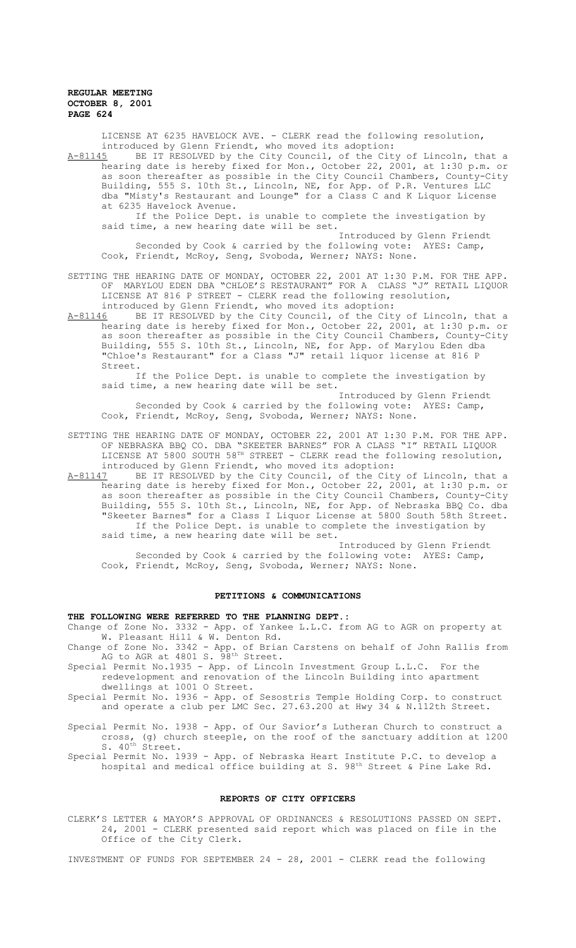LICENSE AT 6235 HAVELOCK AVE. - CLERK read the following resolution, introduced by Glenn Friendt, who moved its adoption:

A-81145 BE IT RESOLVED by the City Council, of the City of Lincoln, that a hearing date is hereby fixed for Mon., October 22, 2001, at 1:30 p.m. or as soon thereafter as possible in the City Council Chambers, County-City Building, 555 S. 10th St., Lincoln, NE, for App. of P.R. Ventures LLC dba "Misty's Restaurant and Lounge" for a Class C and K Liquor License at 6235 Havelock Avenue.

If the Police Dept. is unable to complete the investigation by said time, a new hearing date will be set.

Introduced by Glenn Friendt Seconded by Cook & carried by the following vote: AYES: Camp, Cook, Friendt, McRoy, Seng, Svoboda, Werner; NAYS: None.

SETTING THE HEARING DATE OF MONDAY, OCTOBER 22, 2001 AT 1:30 P.M. FOR THE APP. OF MARYLOU EDEN DBA "CHLOE'S RESTAURANT" FOR A CLASS "J" RETAIL LIQUOR LICENSE AT 816 P STREET - CLERK read the following resolution, introduced by Glenn Friendt, who moved its adoption:

A-81146 BE IT RESOLVED by the City Council, of the City of Lincoln, that a hearing date is hereby fixed for Mon., October 22, 2001, at 1:30 p.m. or as soon thereafter as possible in the City Council Chambers, County-City Building, 555 S. 10th St., Lincoln, NE, for App. of Marylou Eden dba "Chloe's Restaurant" for a Class "J" retail liquor license at 816 P Street.

If the Police Dept. is unable to complete the investigation by said time, a new hearing date will be set.

Introduced by Glenn Friendt Seconded by Cook & carried by the following vote: AYES: Camp, Cook, Friendt, McRoy, Seng, Svoboda, Werner; NAYS: None.

SETTING THE HEARING DATE OF MONDAY, OCTOBER 22, 2001 AT 1:30 P.M. FOR THE APP. OF NEBRASKA BBQ CO. DBA "SKEETER BARNES" FOR A CLASS "I" RETAIL LIQUOR LICENSE AT 5800 SOUTH 58TH STREET - CLERK read the following resolution, introduced by Glenn Friendt, who moved its adoption:

A-81147 BE IT RESOLVED by the City Council, of the City of Lincoln, that a hearing date is hereby fixed for Mon., October 22, 2001, at 1:30 p.m. or as soon thereafter as possible in the City Council Chambers, County-City Building, 555 S. 10th St., Lincoln, NE, for App. of Nebraska BBQ Co. dba "Skeeter Barnes" for a Class I Liquor License at 5800 South 58th Street. If the Police Dept. is unable to complete the investigation by said time, a new hearing date will be set.

Introduced by Glenn Friendt Seconded by Cook & carried by the following vote: AYES: Camp, Cook, Friendt, McRoy, Seng, Svoboda, Werner; NAYS: None.

## **PETITIONS & COMMUNICATIONS**

**THE FOLLOWING WERE REFERRED TO THE PLANNING DEPT.:**

Change of Zone No. 3332 - App. of Yankee L.L.C. from AG to AGR on property at W. Pleasant Hill & W. Denton Rd.

Change of Zone No. 3342 - App. of Brian Carstens on behalf of John Rallis from AG to AGR at 4801 S. 98<sup>th</sup> Street.

Special Permit No.1935 - App. of Lincoln Investment Group L.L.C. For the redevelopment and renovation of the Lincoln Building into apartment dwellings at 1001 O Street.

Special Permit No. 1936 - App. of Sesostris Temple Holding Corp. to construct and operate a club per LMC Sec. 27.63.200 at Hwy 34 & N.112th Street.

Special Permit No. 1938 - App. of Our Savior's Lutheran Church to construct a cross, (g) church steeple, on the roof of the sanctuary addition at 1200 S. 40<sup>th</sup> Street.

Special Permit No. 1939 - App. of Nebraska Heart Institute P.C. to develop a hospital and medical office building at S. 98<sup>th</sup> Street & Pine Lake Rd.

### **REPORTS OF CITY OFFICERS**

CLERK'S LETTER & MAYOR'S APPROVAL OF ORDINANCES & RESOLUTIONS PASSED ON SEPT. 24, 2001 - CLERK presented said report which was placed on file in the Office of the City Clerk.

INVESTMENT OF FUNDS FOR SEPTEMBER 24 - 28, 2001 - CLERK read the following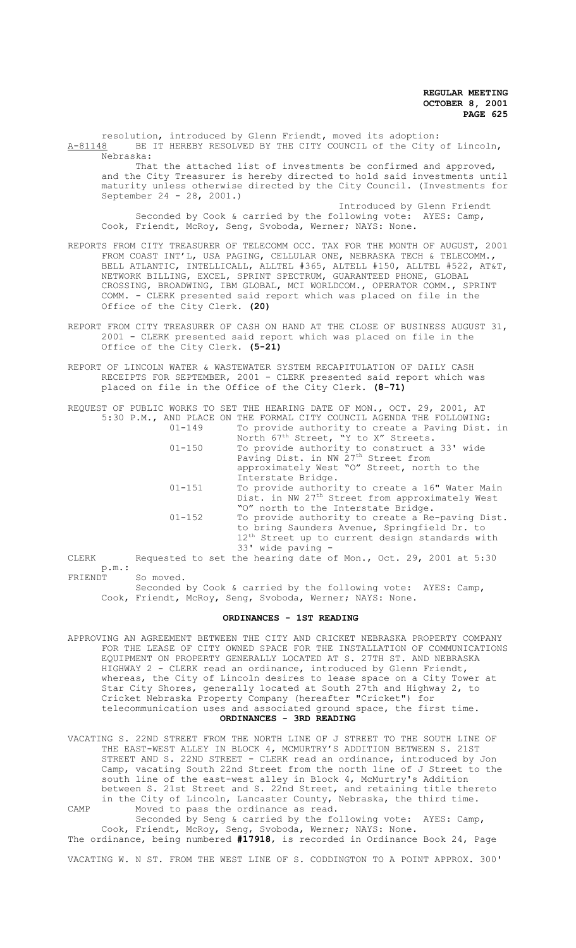resolution, introduced by Glenn Friendt, moved its adoption: A-81148 BE IT HEREBY RESOLVED BY THE CITY COUNCIL of the City of Lincoln, Nebraska:

That the attached list of investments be confirmed and approved, and the City Treasurer is hereby directed to hold said investments until maturity unless otherwise directed by the City Council. (Investments for September 24 - 28, 2001.)

Introduced by Glenn Friendt Seconded by Cook & carried by the following vote: AYES: Camp, Cook, Friendt, McRoy, Seng, Svoboda, Werner; NAYS: None.

REPORTS FROM CITY TREASURER OF TELECOMM OCC. TAX FOR THE MONTH OF AUGUST, 2001 FROM COAST INT'L, USA PAGING, CELLULAR ONE, NEBRASKA TECH & TELECOMM., BELL ATLANTIC, INTELLICALL, ALLTEL #365, ALTELL #150, ALLTEL #522, AT&T, NETWORK BILLING, EXCEL, SPRINT SPECTRUM, GUARANTEED PHONE, GLOBAL CROSSING, BROADWING, IBM GLOBAL, MCI WORLDCOM., OPERATOR COMM., SPRINT COMM. - CLERK presented said report which was placed on file in the Office of the City Clerk. **(20)**

- REPORT FROM CITY TREASURER OF CASH ON HAND AT THE CLOSE OF BUSINESS AUGUST 31, 2001 - CLERK presented said report which was placed on file in the Office of the City Clerk. **(5-21)**
- REPORT OF LINCOLN WATER & WASTEWATER SYSTEM RECAPITULATION OF DAILY CASH RECEIPTS FOR SEPTEMBER, 2001 - CLERK presented said report which was placed on file in the Office of the City Clerk. **(8-71)**

REQUEST OF PUBLIC WORKS TO SET THE HEARING DATE OF MON., OCT. 29, 2001, AT 5:30 P.M., AND PLACE ON THE FORMAL CITY COUNCIL AGENDA THE FOLLOWING:

| $01 - 149$ | To provide authority to create a Paving Dist. in            |
|------------|-------------------------------------------------------------|
|            | North 67 <sup>th</sup> Street, "Y to X" Streets.            |
| $01 - 150$ | To provide authority to construct a 33' wide                |
|            | Paving Dist. in NW 27 <sup>th</sup> Street from             |
|            | approximately West "O" Street, north to the                 |
|            | Interstate Bridge.                                          |
| $01 - 151$ | To provide authority to create a 16" Water Main             |
|            | Dist. in NW 27 <sup>th</sup> Street from approximately West |
|            | "O" north to the Interstate Bridge.                         |
| $01 - 152$ | To provide authority to create a Re-paving Dist.            |
|            | to bring Saunders Avenue, Springfield Dr. to                |
|            | 12 <sup>th</sup> Street up to current design standards with |
|            | $33'$ wide paving $-$                                       |

CLERK Requested to set the hearing date of Mon., Oct. 29, 2001 at 5:30 p.m.:<br>FRIENDT So moved.

Seconded by Cook & carried by the following vote: AYES: Camp, Cook, Friendt, McRoy, Seng, Svoboda, Werner; NAYS: None.

## **ORDINANCES - 1ST READING**

APPROVING AN AGREEMENT BETWEEN THE CITY AND CRICKET NEBRASKA PROPERTY COMPANY FOR THE LEASE OF CITY OWNED SPACE FOR THE INSTALLATION OF COMMUNICATIONS EQUIPMENT ON PROPERTY GENERALLY LOCATED AT S. 27TH ST. AND NEBRASKA HIGHWAY 2 - CLERK read an ordinance, introduced by Glenn Friendt, whereas, the City of Lincoln desires to lease space on a City Tower at Star City Shores, generally located at South 27th and Highway 2, to Cricket Nebraska Property Company (hereafter "Cricket") for telecommunication uses and associated ground space, the first time. **ORDINANCES - 3RD READING**

VACATING S. 22ND STREET FROM THE NORTH LINE OF J STREET TO THE SOUTH LINE OF THE EAST-WEST ALLEY IN BLOCK 4, MCMURTRY'S ADDITION BETWEEN S. 21ST STREET AND S. 22ND STREET - CLERK read an ordinance, introduced by Jon Camp, vacating South 22nd Street from the north line of J Street to the south line of the east-west alley in Block 4, McMurtry's Addition between S. 21st Street and S. 22nd Street, and retaining title thereto in the City of Lincoln, Lancaster County, Nebraska, the third time. CAMP Moved to pass the ordinance as read.

Seconded by Seng & carried by the following vote: AYES: Camp, Cook, Friendt, McRoy, Seng, Svoboda, Werner; NAYS: None. The ordinance, being numbered **#17918**, is recorded in Ordinance Book 24, Page

VACATING W. N ST. FROM THE WEST LINE OF S. CODDINGTON TO A POINT APPROX. 300'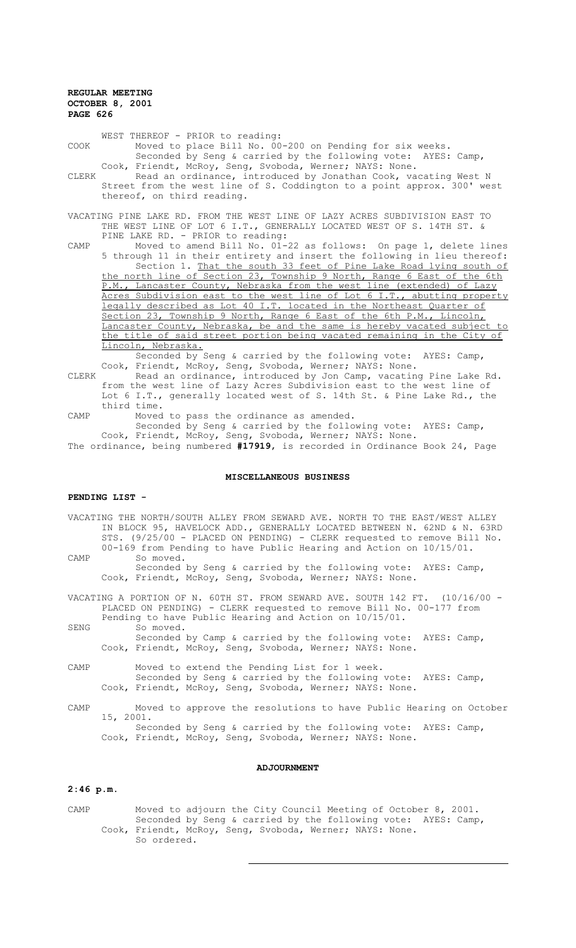WEST THEREOF - PRIOR to reading: COOK Moved to place Bill No. 00-200 on Pending for six weeks. Seconded by Seng & carried by the following vote: AYES: Camp, Cook, Friendt, McRoy, Seng, Svoboda, Werner; NAYS: None. CLERK Read an ordinance, introduced by Jonathan Cook, vacating West N Street from the west line of S. Coddington to a point approx. 300' west thereof, on third reading. VACATING PINE LAKE RD. FROM THE WEST LINE OF LAZY ACRES SUBDIVISION EAST TO THE WEST LINE OF LOT 6 I.T., GENERALLY LOCATED WEST OF S. 14TH ST. & PINE LAKE RD. - PRIOR to reading: CAMP Moved to amend Bill No. 01-22 as follows: On page 1, delete lines 5 through 11 in their entirety and insert the following in lieu thereof: Section 1. That the south 33 feet of Pine Lake Road lying south of the north line of Section 23, Township 9 North, Range 6 East of the 6th P.M., Lancaster County, Nebraska from the west line (extended) of Lazy Acres Subdivision east to the west line of Lot 6 I.T., abutting property legally described as Lot 40 I.T. located in the Northeast Quarter of Section 23, Township 9 North, Range 6 East of the 6th P.M., Lincoln, Lancaster County, Nebraska, be and the same is hereby vacated subject to

the title of said street portion being vacated remaining in the City of Lincoln, Nebraska.

Seconded by Seng & carried by the following vote: AYES: Camp, Cook, Friendt, McRoy, Seng, Svoboda, Werner; NAYS: None.

- CLERK Read an ordinance, introduced by Jon Camp, vacating Pine Lake Rd. from the west line of Lazy Acres Subdivision east to the west line of Lot 6 I.T., generally located west of S. 14th St. & Pine Lake Rd., the third time.
- CAMP Moved to pass the ordinance as amended. Seconded by Seng & carried by the following vote: AYES: Camp, Cook, Friendt, McRoy, Seng, Svoboda, Werner; NAYS: None.

The ordinance, being numbered **#17919**, is recorded in Ordinance Book 24, Page

## **MISCELLANEOUS BUSINESS**

## **PENDING LIST -**

VACATING THE NORTH/SOUTH ALLEY FROM SEWARD AVE. NORTH TO THE EAST/WEST ALLEY IN BLOCK 95, HAVELOCK ADD., GENERALLY LOCATED BETWEEN N. 62ND & N. 63RD STS. (9/25/00 - PLACED ON PENDING) - CLERK requested to remove Bill No. 00-169 from Pending to have Public Hearing and Action on 10/15/01. CAMP So moved.

Seconded by Seng & carried by the following vote: AYES: Camp, Cook, Friendt, McRoy, Seng, Svoboda, Werner; NAYS: None.

VACATING A PORTION OF N. 60TH ST. FROM SEWARD AVE. SOUTH 142 FT. (10/16/00 - PLACED ON PENDING) - CLERK requested to remove Bill No. 00-177 from Pending to have Public Hearing and Action on 10/15/01.

- SENG So moved. Seconded by Camp & carried by the following vote: AYES: Camp, Cook, Friendt, McRoy, Seng, Svoboda, Werner; NAYS: None.
- CAMP Moved to extend the Pending List for 1 week. Seconded by Seng & carried by the following vote: AYES: Camp, Cook, Friendt, McRoy, Seng, Svoboda, Werner; NAYS: None.

CAMP Moved to approve the resolutions to have Public Hearing on October 15, 2001. Seconded by Seng & carried by the following vote: AYES: Camp,

Cook, Friendt, McRoy, Seng, Svoboda, Werner; NAYS: None.

#### **ADJOURNMENT**

### **2:46 p.m.**

CAMP Moved to adjourn the City Council Meeting of October 8, 2001. Seconded by Seng & carried by the following vote: AYES: Camp, Cook, Friendt, McRoy, Seng, Svoboda, Werner; NAYS: None. So ordered.

 $\overline{a}$